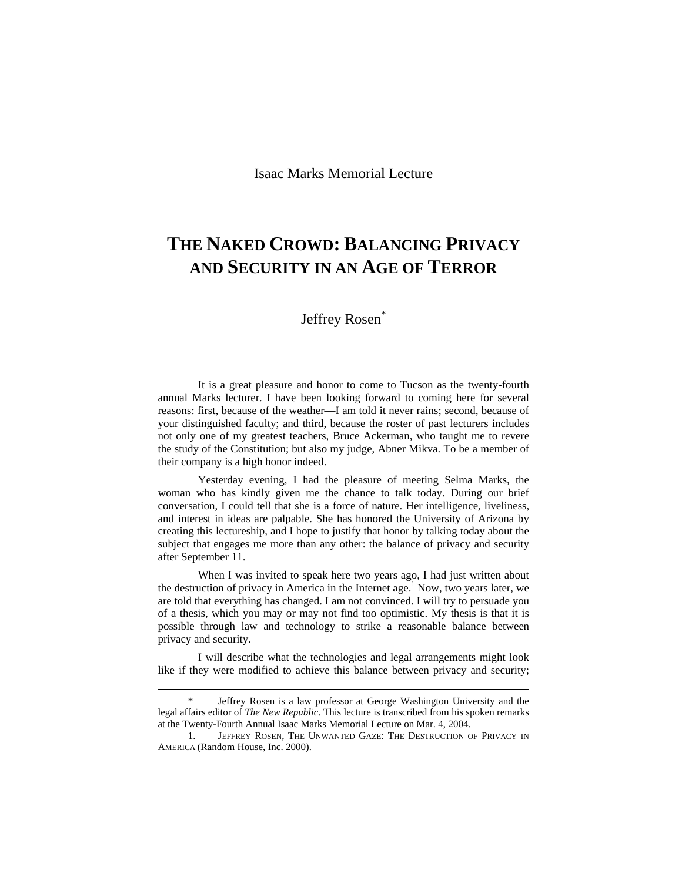Isaac Marks Memorial Lecture

## **THE NAKED CROWD: BALANCING PRIVACY AND SECURITY IN AN AGE OF TERROR**

## Jeffrey Rosen<sup>\*</sup>

It is a great pleasure and honor to come to Tucson as the twenty-fourth annual Marks lecturer. I have been looking forward to coming here for several reasons: first, because of the weather—I am told it never rains; second, because of your distinguished faculty; and third, because the roster of past lecturers includes not only one of my greatest teachers, Bruce Ackerman, who taught me to revere the study of the Constitution; but also my judge, Abner Mikva. To be a member of their company is a high honor indeed.

Yesterday evening, I had the pleasure of meeting Selma Marks, the woman who has kindly given me the chance to talk today. During our brief conversation, I could tell that she is a force of nature. Her intelligence, liveliness, and interest in ideas are palpable. She has honored the University of Arizona by creating this lectureship, and I hope to justify that honor by talking today about the subject that engages me more than any other: the balance of privacy and security after September 11.

When I was invited to speak here two years ago, I had just written about the destruction of privacy in America in the Internet age.<sup>1</sup> Now, two years later, we are told that everything has changed. I am not convinced. I will try to persuade you of a thesis, which you may or may not find too optimistic. My thesis is that it is possible through law and technology to strike a reasonable balance between privacy and security.

I will describe what the technologies and legal arrangements might look like if they were modified to achieve this balance between privacy and security;

Jeffrey Rosen is a law professor at George Washington University and the legal affairs editor of *The New Republic*. This lecture is transcribed from his spoken remarks at the Twenty-Fourth Annual Isaac Marks Memorial Lecture on Mar. 4, 2004.

 <sup>1.</sup> JEFFREY ROSEN, THE UNWANTED GAZE: THE DESTRUCTION OF PRIVACY IN AMERICA (Random House, Inc. 2000).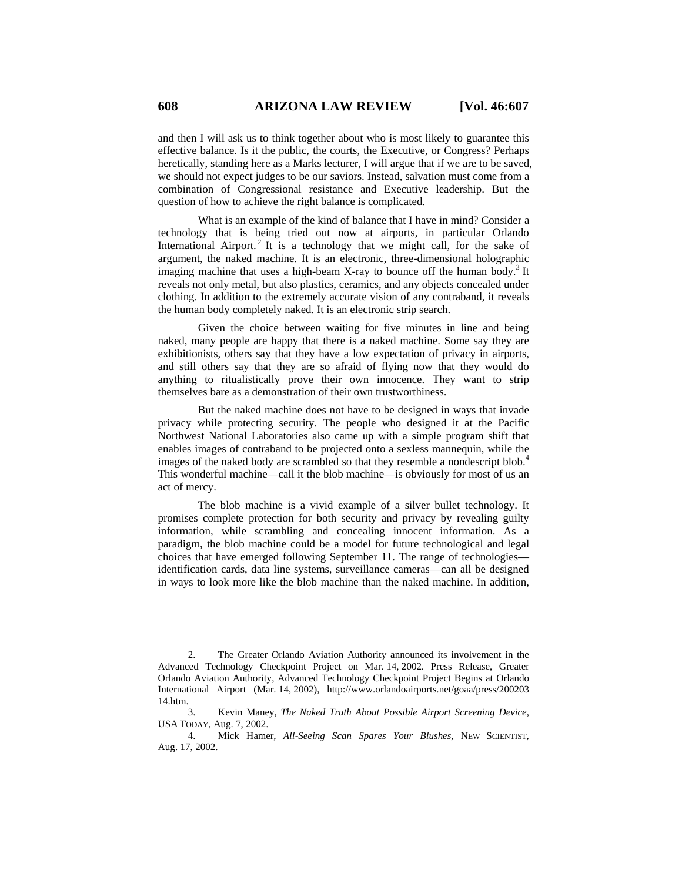and then I will ask us to think together about who is most likely to guarantee this effective balance. Is it the public, the courts, the Executive, or Congress? Perhaps heretically, standing here as a Marks lecturer, I will argue that if we are to be saved, we should not expect judges to be our saviors. Instead, salvation must come from a combination of Congressional resistance and Executive leadership. But the question of how to achieve the right balance is complicated.

What is an example of the kind of balance that I have in mind? Consider a technology that is being tried out now at airports, in particular Orlando International Airport.<sup>2</sup> It is a technology that we might call, for the sake of argument, the naked machine. It is an electronic, three-dimensional holographic imaging machine that uses a high-beam X-ray to bounce off the human body.<sup>3</sup> It reveals not only metal, but also plastics, ceramics, and any objects concealed under clothing. In addition to the extremely accurate vision of any contraband, it reveals the human body completely naked. It is an electronic strip search.

Given the choice between waiting for five minutes in line and being naked, many people are happy that there is a naked machine. Some say they are exhibitionists, others say that they have a low expectation of privacy in airports, and still others say that they are so afraid of flying now that they would do anything to ritualistically prove their own innocence. They want to strip themselves bare as a demonstration of their own trustworthiness.

But the naked machine does not have to be designed in ways that invade privacy while protecting security. The people who designed it at the Pacific Northwest National Laboratories also came up with a simple program shift that enables images of contraband to be projected onto a sexless mannequin, while the images of the naked body are scrambled so that they resemble a nondescript blob.<sup>4</sup> This wonderful machine—call it the blob machine—is obviously for most of us an act of mercy.

The blob machine is a vivid example of a silver bullet technology. It promises complete protection for both security and privacy by revealing guilty information, while scrambling and concealing innocent information. As a paradigm, the blob machine could be a model for future technological and legal choices that have emerged following September 11. The range of technologies identification cards, data line systems, surveillance cameras—can all be designed in ways to look more like the blob machine than the naked machine. In addition,

 <sup>2.</sup> The Greater Orlando Aviation Authority announced its involvement in the Advanced Technology Checkpoint Project on Mar. 14, 2002. Press Release, Greater Orlando Aviation Authority, Advanced Technology Checkpoint Project Begins at Orlando International Airport (Mar. 14, 2002), http://www.orlandoairports.net/goaa/press/200203 14.htm.

 <sup>3.</sup> Kevin Maney, *The Naked Truth About Possible Airport Screening Device*, USA TODAY, Aug. 7, 2002.

 <sup>4.</sup> Mick Hamer, *All-Seeing Scan Spares Your Blushes*, NEW SCIENTIST, Aug. 17, 2002.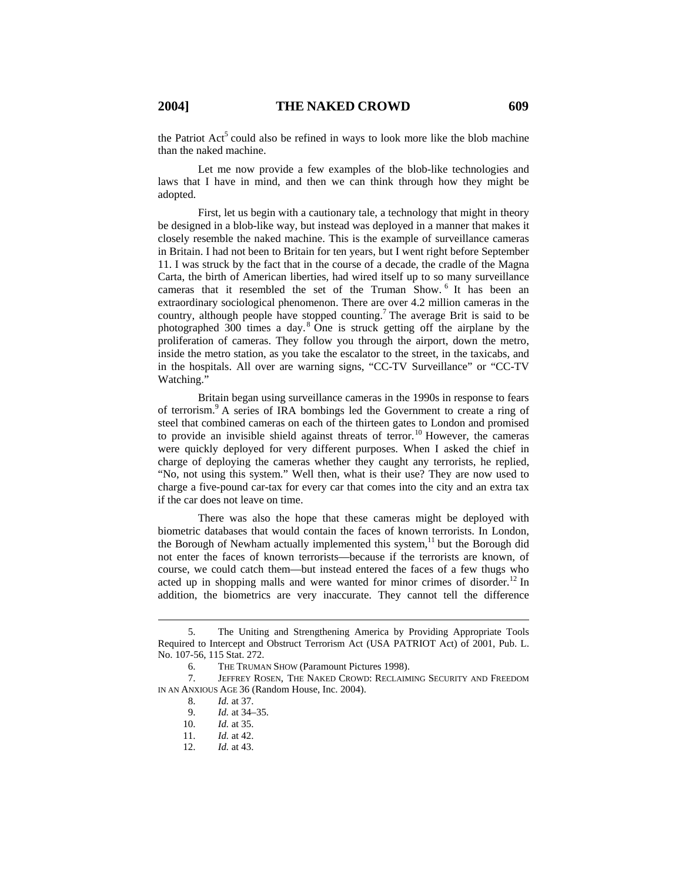the Patriot  $Act^5$  could also be refined in ways to look more like the blob machine than the naked machine.

Let me now provide a few examples of the blob-like technologies and laws that I have in mind, and then we can think through how they might be adopted.

First, let us begin with a cautionary tale, a technology that might in theory be designed in a blob-like way, but instead was deployed in a manner that makes it closely resemble the naked machine. This is the example of surveillance cameras in Britain. I had not been to Britain for ten years, but I went right before September 11. I was struck by the fact that in the course of a decade, the cradle of the Magna Carta, the birth of American liberties, had wired itself up to so many surveillance cameras that it resembled the set of the Truman Show. 6 It has been an extraordinary sociological phenomenon. There are over 4.2 million cameras in the country, although people have stopped counting.<sup>7</sup> The average Brit is said to be photographed  $300$  times a day.<sup>8</sup> One is struck getting off the airplane by the proliferation of cameras. They follow you through the airport, down the metro, inside the metro station, as you take the escalator to the street, in the taxicabs, and in the hospitals. All over are warning signs, "CC-TV Surveillance" or "CC-TV Watching."

Britain began using surveillance cameras in the 1990s in response to fears of terrorism.<sup>9</sup> A series of IRA bombings led the Government to create a ring of steel that combined cameras on each of the thirteen gates to London and promised to provide an invisible shield against threats of terror.<sup>10</sup> However, the cameras were quickly deployed for very different purposes. When I asked the chief in charge of deploying the cameras whether they caught any terrorists, he replied, "No, not using this system." Well then, what is their use? They are now used to charge a five-pound car-tax for every car that comes into the city and an extra tax if the car does not leave on time.

There was also the hope that these cameras might be deployed with biometric databases that would contain the faces of known terrorists. In London, the Borough of Newham actually implemented this system, $11$  but the Borough did not enter the faces of known terrorists—because if the terrorists are known, of course, we could catch them—but instead entered the faces of a few thugs who acted up in shopping malls and were wanted for minor crimes of disorder.<sup>12</sup> In addition, the biometrics are very inaccurate. They cannot tell the difference

 <sup>5.</sup> The Uniting and Strengthening America by Providing Appropriate Tools Required to Intercept and Obstruct Terrorism Act (USA PATRIOT Act) of 2001, Pub. L. No. 107-56, 115 Stat. 272.

 <sup>6.</sup> THE TRUMAN SHOW (Paramount Pictures 1998).

 <sup>7.</sup> JEFFREY ROSEN, THE NAKED CROWD: RECLAIMING SECURITY AND FREEDOM IN AN ANXIOUS AGE 36 (Random House, Inc. 2004).

 <sup>8.</sup> *Id.* at 37.

 <sup>9.</sup> *Id.* at 34–35.

 <sup>10.</sup> *Id.* at 35.

 <sup>11.</sup> *Id.* at 42.

 <sup>12.</sup> *Id.* at 43.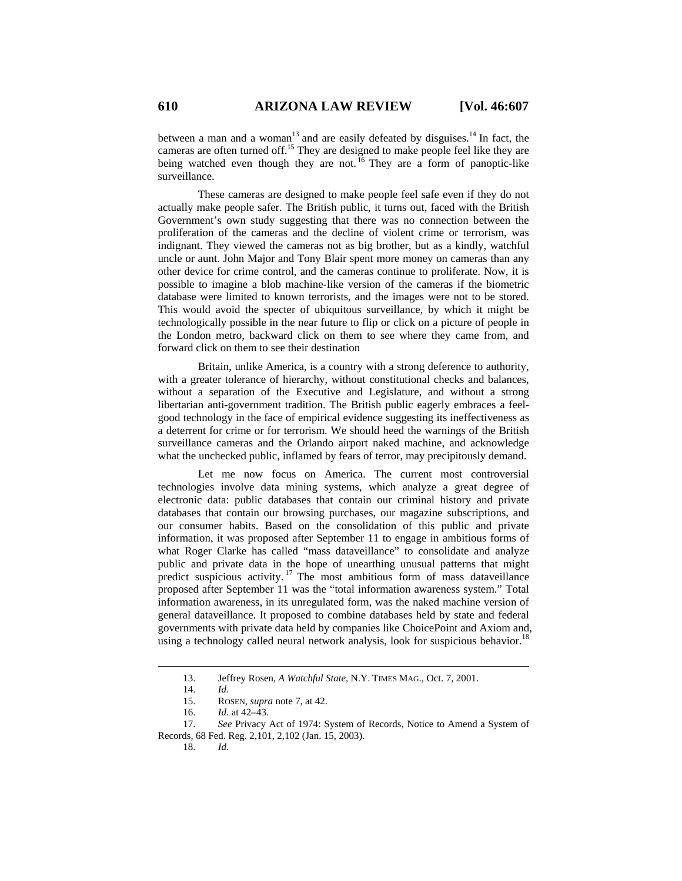between a man and a woman<sup>13</sup> and are easily defeated by disguises.<sup>14</sup> In fact, the cameras are often turned off.15 They are designed to make people feel like they are being watched even though they are not.  $^{16}$  They are a form of panoptic-like surveillance.

These cameras are designed to make people feel safe even if they do not actually make people safer. The British public, it turns out, faced with the British Government's own study suggesting that there was no connection between the proliferation of the cameras and the decline of violent crime or terrorism, was indignant. They viewed the cameras not as big brother, but as a kindly, watchful uncle or aunt. John Major and Tony Blair spent more money on cameras than any other device for crime control, and the cameras continue to proliferate. Now, it is possible to imagine a blob machine-like version of the cameras if the biometric database were limited to known terrorists, and the images were not to be stored. This would avoid the specter of ubiquitous surveillance, by which it might be technologically possible in the near future to flip or click on a picture of people in the London metro, backward click on them to see where they came from, and forward click on them to see their destination

Britain, unlike America, is a country with a strong deference to authority, with a greater tolerance of hierarchy, without constitutional checks and balances, without a separation of the Executive and Legislature, and without a strong libertarian anti-government tradition. The British public eagerly embraces a feelgood technology in the face of empirical evidence suggesting its ineffectiveness as a deterrent for crime or for terrorism. We should heed the warnings of the British surveillance cameras and the Orlando airport naked machine, and acknowledge what the unchecked public, inflamed by fears of terror, may precipitously demand.

Let me now focus on America. The current most controversial technologies involve data mining systems, which analyze a great degree of electronic data: public databases that contain our criminal history and private databases that contain our browsing purchases, our magazine subscriptions, and our consumer habits. Based on the consolidation of this public and private information, it was proposed after September 11 to engage in ambitious forms of what Roger Clarke has called "mass dataveillance" to consolidate and analyze public and private data in the hope of unearthing unusual patterns that might predict suspicious activity.<sup>17</sup> The most ambitious form of mass dataveillance proposed after September 11 was the "total information awareness system." Total information awareness, in its unregulated form, was the naked machine version of general dataveillance. It proposed to combine databases held by state and federal governments with private data held by companies like ChoicePoint and Axiom and, using a technology called neural network analysis, look for suspicious behavior.<sup>18</sup>

 <sup>13.</sup> Jeffrey Rosen, *A Watchful State*, N.Y. TIMES MAG., Oct. 7, 2001.

 <sup>14.</sup> *Id.*

 <sup>15.</sup> ROSEN, *supra* note 7, at 42.

 <sup>16.</sup> *Id.* at 42–43.

 <sup>17.</sup> *See* Privacy Act of 1974: System of Records, Notice to Amend a System of Records, 68 Fed. Reg. 2,101, 2,102 (Jan. 15, 2003).

 <sup>18.</sup> *Id.*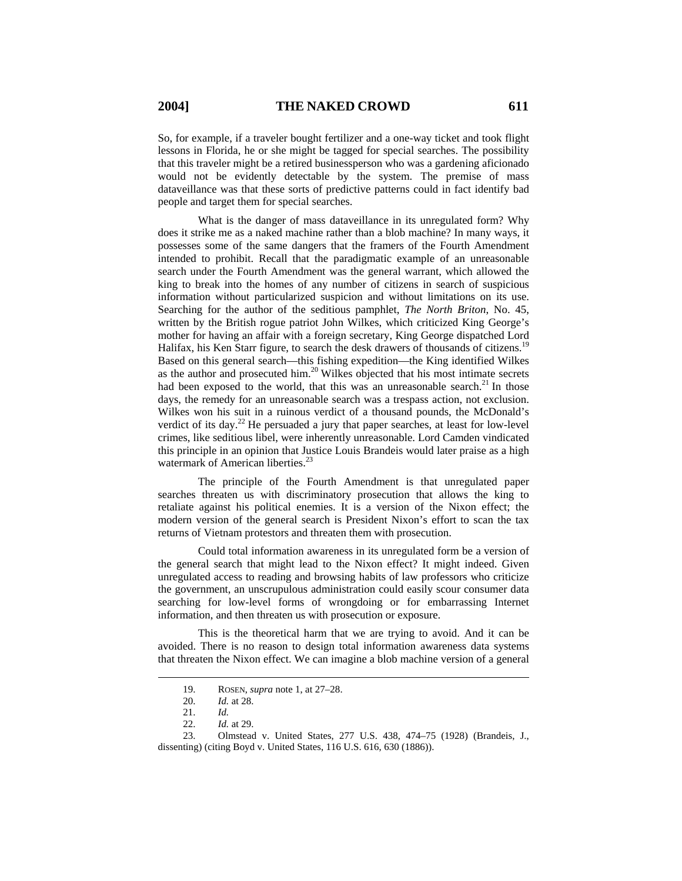So, for example, if a traveler bought fertilizer and a one-way ticket and took flight lessons in Florida, he or she might be tagged for special searches. The possibility that this traveler might be a retired businessperson who was a gardening aficionado would not be evidently detectable by the system. The premise of mass dataveillance was that these sorts of predictive patterns could in fact identify bad people and target them for special searches.

What is the danger of mass dataveillance in its unregulated form? Why does it strike me as a naked machine rather than a blob machine? In many ways, it possesses some of the same dangers that the framers of the Fourth Amendment intended to prohibit. Recall that the paradigmatic example of an unreasonable search under the Fourth Amendment was the general warrant, which allowed the king to break into the homes of any number of citizens in search of suspicious information without particularized suspicion and without limitations on its use. Searching for the author of the seditious pamphlet, *The North Briton*, No. 45, written by the British rogue patriot John Wilkes, which criticized King George's mother for having an affair with a foreign secretary, King George dispatched Lord Halifax, his Ken Starr figure, to search the desk drawers of thousands of citizens.<sup>19</sup> Based on this general search—this fishing expedition—the King identified Wilkes as the author and prosecuted him.20 Wilkes objected that his most intimate secrets had been exposed to the world, that this was an unreasonable search.<sup>21</sup> In those days, the remedy for an unreasonable search was a trespass action, not exclusion. Wilkes won his suit in a ruinous verdict of a thousand pounds, the McDonald's verdict of its day.<sup>22</sup> He persuaded a jury that paper searches, at least for low-level crimes, like seditious libel, were inherently unreasonable. Lord Camden vindicated this principle in an opinion that Justice Louis Brandeis would later praise as a high watermark of American liberties.<sup>23</sup>

The principle of the Fourth Amendment is that unregulated paper searches threaten us with discriminatory prosecution that allows the king to retaliate against his political enemies. It is a version of the Nixon effect; the modern version of the general search is President Nixon's effort to scan the tax returns of Vietnam protestors and threaten them with prosecution.

Could total information awareness in its unregulated form be a version of the general search that might lead to the Nixon effect? It might indeed. Given unregulated access to reading and browsing habits of law professors who criticize the government, an unscrupulous administration could easily scour consumer data searching for low-level forms of wrongdoing or for embarrassing Internet information, and then threaten us with prosecution or exposure.

This is the theoretical harm that we are trying to avoid. And it can be avoided. There is no reason to design total information awareness data systems that threaten the Nixon effect. We can imagine a blob machine version of a general

 <sup>19.</sup> ROSEN, *supra* note 1, at 27–28.

 <sup>20.</sup> *Id.* at 28.

 <sup>21.</sup> *Id.*

 <sup>22.</sup> *Id.* at 29.

 <sup>23.</sup> Olmstead v. United States, 277 U.S. 438, 474–75 (1928) (Brandeis, J., dissenting) (citing Boyd v. United States, 116 U.S. 616, 630 (1886)).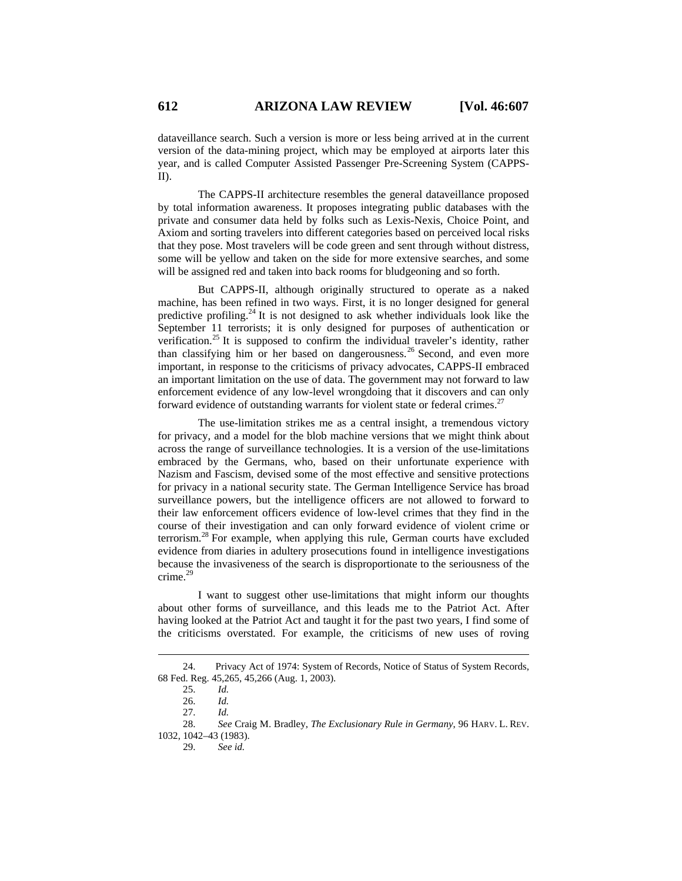dataveillance search. Such a version is more or less being arrived at in the current version of the data-mining project, which may be employed at airports later this year, and is called Computer Assisted Passenger Pre-Screening System (CAPPS-II).

The CAPPS-II architecture resembles the general dataveillance proposed by total information awareness. It proposes integrating public databases with the private and consumer data held by folks such as Lexis-Nexis, Choice Point, and Axiom and sorting travelers into different categories based on perceived local risks that they pose. Most travelers will be code green and sent through without distress, some will be yellow and taken on the side for more extensive searches, and some will be assigned red and taken into back rooms for bludgeoning and so forth.

But CAPPS-II, although originally structured to operate as a naked machine, has been refined in two ways. First, it is no longer designed for general predictive profiling.<sup>24</sup> It is not designed to ask whether individuals look like the September 11 terrorists; it is only designed for purposes of authentication or verification.<sup>25</sup> It is supposed to confirm the individual traveler's identity, rather than classifying him or her based on dangerousness.<sup>26</sup> Second, and even more important, in response to the criticisms of privacy advocates, CAPPS-II embraced an important limitation on the use of data. The government may not forward to law enforcement evidence of any low-level wrongdoing that it discovers and can only forward evidence of outstanding warrants for violent state or federal crimes.<sup>27</sup>

The use-limitation strikes me as a central insight, a tremendous victory for privacy, and a model for the blob machine versions that we might think about across the range of surveillance technologies. It is a version of the use-limitations embraced by the Germans, who, based on their unfortunate experience with Nazism and Fascism, devised some of the most effective and sensitive protections for privacy in a national security state. The German Intelligence Service has broad surveillance powers, but the intelligence officers are not allowed to forward to their law enforcement officers evidence of low-level crimes that they find in the course of their investigation and can only forward evidence of violent crime or terrorism.<sup>28</sup> For example, when applying this rule, German courts have excluded evidence from diaries in adultery prosecutions found in intelligence investigations because the invasiveness of the search is disproportionate to the seriousness of the crime.<sup>29</sup>

I want to suggest other use-limitations that might inform our thoughts about other forms of surveillance, and this leads me to the Patriot Act. After having looked at the Patriot Act and taught it for the past two years, I find some of the criticisms overstated. For example, the criticisms of new uses of roving

29. *See id.* 

 <sup>24.</sup> Privacy Act of 1974: System of Records, Notice of Status of System Records, 68 Fed. Reg. 45,265, 45,266 (Aug. 1, 2003).

 <sup>25.</sup> *Id.*

 <sup>26.</sup> *Id.* 

 <sup>27.</sup> *Id.*

 <sup>28.</sup> *See* Craig M. Bradley, *The Exclusionary Rule in Germany*, 96 HARV. L. REV. 1032, 1042–43 (1983).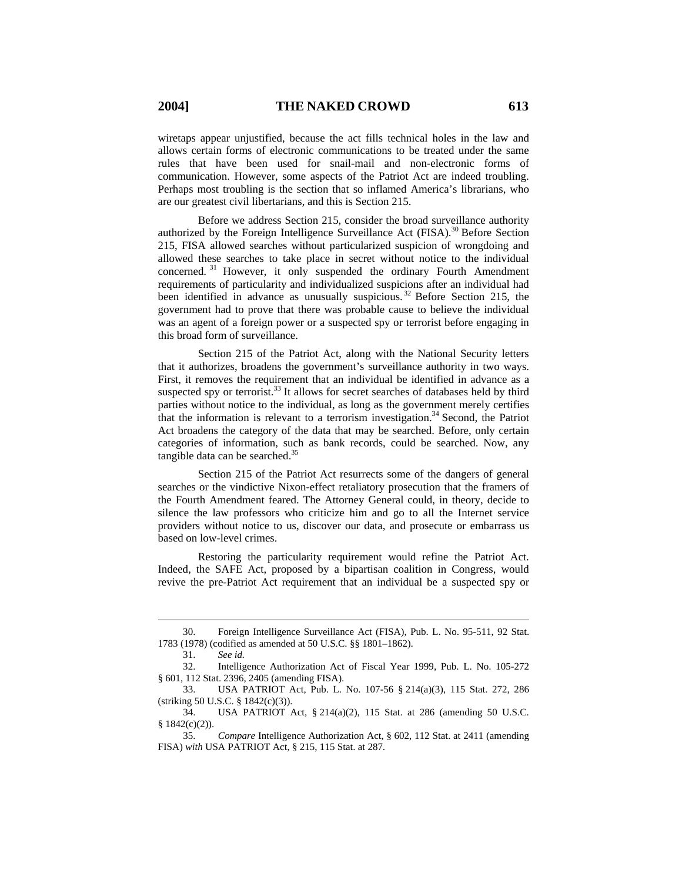wiretaps appear unjustified, because the act fills technical holes in the law and allows certain forms of electronic communications to be treated under the same rules that have been used for snail-mail and non-electronic forms of communication. However, some aspects of the Patriot Act are indeed troubling. Perhaps most troubling is the section that so inflamed America's librarians, who are our greatest civil libertarians, and this is Section 215.

Before we address Section 215, consider the broad surveillance authority authorized by the Foreign Intelligence Surveillance Act (FISA).<sup>30</sup> Before Section 215, FISA allowed searches without particularized suspicion of wrongdoing and allowed these searches to take place in secret without notice to the individual concerned. 31 However, it only suspended the ordinary Fourth Amendment requirements of particularity and individualized suspicions after an individual had been identified in advance as unusually suspicious.<sup>32</sup> Before Section 215, the government had to prove that there was probable cause to believe the individual was an agent of a foreign power or a suspected spy or terrorist before engaging in this broad form of surveillance.

Section 215 of the Patriot Act, along with the National Security letters that it authorizes, broadens the government's surveillance authority in two ways. First, it removes the requirement that an individual be identified in advance as a suspected spy or terrorist.<sup>33</sup> It allows for secret searches of databases held by third parties without notice to the individual, as long as the government merely certifies that the information is relevant to a terrorism investigation.34 Second, the Patriot Act broadens the category of the data that may be searched. Before, only certain categories of information, such as bank records, could be searched. Now, any tangible data can be searched. $35$ 

Section 215 of the Patriot Act resurrects some of the dangers of general searches or the vindictive Nixon-effect retaliatory prosecution that the framers of the Fourth Amendment feared. The Attorney General could, in theory, decide to silence the law professors who criticize him and go to all the Internet service providers without notice to us, discover our data, and prosecute or embarrass us based on low-level crimes.

Restoring the particularity requirement would refine the Patriot Act. Indeed, the SAFE Act, proposed by a bipartisan coalition in Congress, would revive the pre-Patriot Act requirement that an individual be a suspected spy or

 <sup>30.</sup> Foreign Intelligence Surveillance Act (FISA), Pub. L. No. 95-511, 92 Stat. 1783 (1978) (codified as amended at 50 U.S.C. §§ 1801–1862).

 <sup>31.</sup> *See id.*

 <sup>32.</sup> Intelligence Authorization Act of Fiscal Year 1999, Pub. L. No. 105-272 § 601, 112 Stat. 2396, 2405 (amending FISA).

 <sup>33.</sup> USA PATRIOT Act, Pub. L. No. 107-56 § 214(a)(3), 115 Stat. 272, 286 (striking 50 U.S.C. § 1842(c)(3)).

 <sup>34.</sup> USA PATRIOT Act, § 214(a)(2), 115 Stat. at 286 (amending 50 U.S.C. § 1842(c)(2)).

 <sup>35.</sup> *Compare* Intelligence Authorization Act, § 602, 112 Stat. at 2411 (amending FISA) *with* USA PATRIOT Act, § 215, 115 Stat. at 287.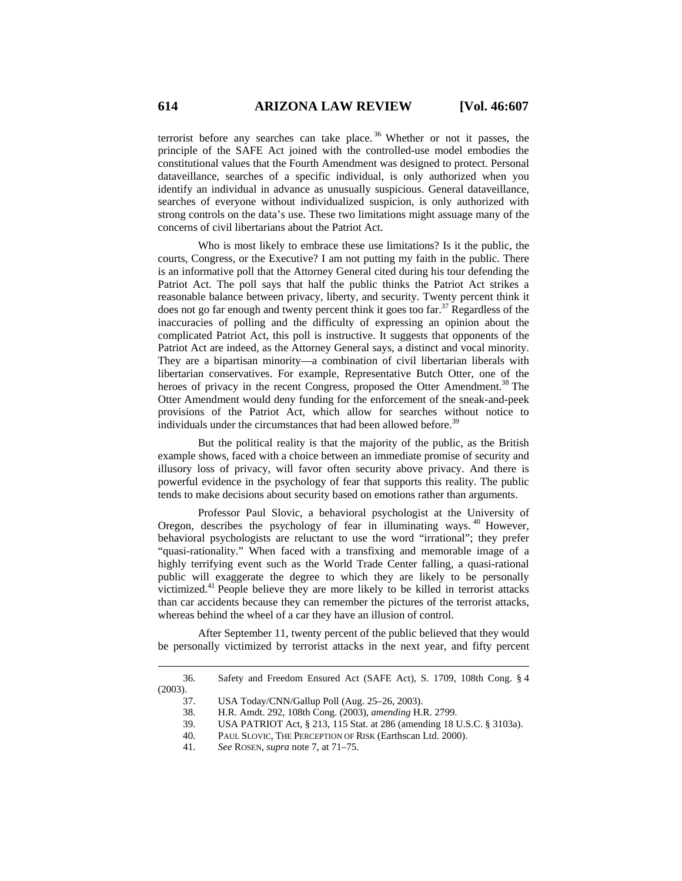terrorist before any searches can take place. 36 Whether or not it passes, the principle of the SAFE Act joined with the controlled-use model embodies the constitutional values that the Fourth Amendment was designed to protect. Personal dataveillance, searches of a specific individual, is only authorized when you identify an individual in advance as unusually suspicious. General dataveillance, searches of everyone without individualized suspicion, is only authorized with strong controls on the data's use. These two limitations might assuage many of the concerns of civil libertarians about the Patriot Act.

Who is most likely to embrace these use limitations? Is it the public, the courts, Congress, or the Executive? I am not putting my faith in the public. There is an informative poll that the Attorney General cited during his tour defending the Patriot Act. The poll says that half the public thinks the Patriot Act strikes a reasonable balance between privacy, liberty, and security. Twenty percent think it does not go far enough and twenty percent think it goes too far.<sup>37</sup> Regardless of the inaccuracies of polling and the difficulty of expressing an opinion about the complicated Patriot Act, this poll is instructive. It suggests that opponents of the Patriot Act are indeed, as the Attorney General says, a distinct and vocal minority. They are a bipartisan minority—a combination of civil libertarian liberals with libertarian conservatives. For example, Representative Butch Otter, one of the heroes of privacy in the recent Congress, proposed the Otter Amendment.<sup>38</sup> The Otter Amendment would deny funding for the enforcement of the sneak-and-peek provisions of the Patriot Act, which allow for searches without notice to individuals under the circumstances that had been allowed before.<sup>39</sup>

But the political reality is that the majority of the public, as the British example shows, faced with a choice between an immediate promise of security and illusory loss of privacy, will favor often security above privacy. And there is powerful evidence in the psychology of fear that supports this reality. The public tends to make decisions about security based on emotions rather than arguments.

Professor Paul Slovic, a behavioral psychologist at the University of Oregon, describes the psychology of fear in illuminating ways.<sup>40</sup> However, behavioral psychologists are reluctant to use the word "irrational"; they prefer "quasi-rationality." When faced with a transfixing and memorable image of a highly terrifying event such as the World Trade Center falling, a quasi-rational public will exaggerate the degree to which they are likely to be personally victimized.41 People believe they are more likely to be killed in terrorist attacks than car accidents because they can remember the pictures of the terrorist attacks, whereas behind the wheel of a car they have an illusion of control.

After September 11, twenty percent of the public believed that they would be personally victimized by terrorist attacks in the next year, and fifty percent

- 38. H.R. Amdt. 292, 108th Cong. (2003), *amending* H.R. 2799.
- 39. USA PATRIOT Act, § 213, 115 Stat. at 286 (amending 18 U.S.C. § 3103a).
- 40. PAUL SLOVIC, THE PERCEPTION OF RISK (Earthscan Ltd. 2000).
- 41. *See* ROSEN, *supra* note 7, at 71–75.

 <sup>36.</sup> Safety and Freedom Ensured Act (SAFE Act), S. 1709, 108th Cong. § 4 (2003).

 <sup>37.</sup> USA Today/CNN/Gallup Poll (Aug. 25–26, 2003).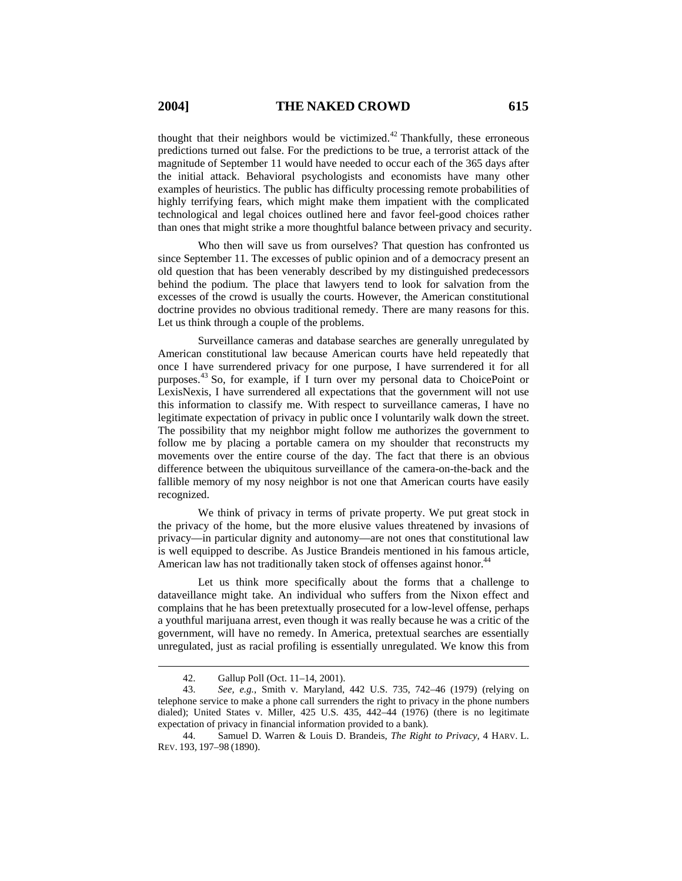thought that their neighbors would be victimized.<sup>42</sup> Thankfully, these erroneous predictions turned out false. For the predictions to be true, a terrorist attack of the magnitude of September 11 would have needed to occur each of the 365 days after the initial attack. Behavioral psychologists and economists have many other examples of heuristics. The public has difficulty processing remote probabilities of highly terrifying fears, which might make them impatient with the complicated technological and legal choices outlined here and favor feel-good choices rather than ones that might strike a more thoughtful balance between privacy and security.

Who then will save us from ourselves? That question has confronted us since September 11. The excesses of public opinion and of a democracy present an old question that has been venerably described by my distinguished predecessors behind the podium. The place that lawyers tend to look for salvation from the excesses of the crowd is usually the courts. However, the American constitutional doctrine provides no obvious traditional remedy. There are many reasons for this. Let us think through a couple of the problems.

Surveillance cameras and database searches are generally unregulated by American constitutional law because American courts have held repeatedly that once I have surrendered privacy for one purpose, I have surrendered it for all purposes.43 So, for example, if I turn over my personal data to ChoicePoint or LexisNexis, I have surrendered all expectations that the government will not use this information to classify me. With respect to surveillance cameras, I have no legitimate expectation of privacy in public once I voluntarily walk down the street. The possibility that my neighbor might follow me authorizes the government to follow me by placing a portable camera on my shoulder that reconstructs my movements over the entire course of the day. The fact that there is an obvious difference between the ubiquitous surveillance of the camera-on-the-back and the fallible memory of my nosy neighbor is not one that American courts have easily recognized.

We think of privacy in terms of private property. We put great stock in the privacy of the home, but the more elusive values threatened by invasions of privacy—in particular dignity and autonomy—are not ones that constitutional law is well equipped to describe. As Justice Brandeis mentioned in his famous article, American law has not traditionally taken stock of offenses against honor.<sup>44</sup>

Let us think more specifically about the forms that a challenge to dataveillance might take. An individual who suffers from the Nixon effect and complains that he has been pretextually prosecuted for a low-level offense, perhaps a youthful marijuana arrest, even though it was really because he was a critic of the government, will have no remedy. In America, pretextual searches are essentially unregulated, just as racial profiling is essentially unregulated. We know this from

 <sup>42.</sup> Gallup Poll (Oct. 11–14, 2001).

 <sup>43.</sup> *See, e.g.*, Smith v. Maryland, 442 U.S. 735, 742–46 (1979) (relying on telephone service to make a phone call surrenders the right to privacy in the phone numbers dialed); United States v. Miller, 425 U.S. 435, 442–44 (1976) (there is no legitimate expectation of privacy in financial information provided to a bank).

 <sup>44.</sup> Samuel D. Warren & Louis D. Brandeis, *The Right to Privacy*, 4 HARV. L. REV. 193, 197–98 (1890).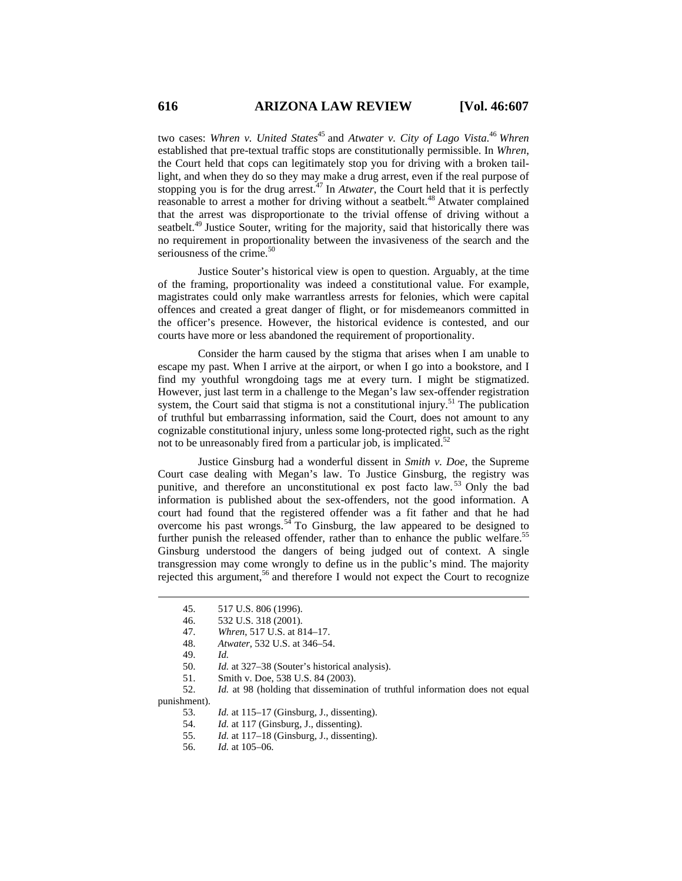two cases: *Whren v. United States*<sup>45</sup> and *Atwater v. City of Lago Vista.*<sup>46</sup> Whren established that pre-textual traffic stops are constitutionally permissible. In *Whren*, the Court held that cops can legitimately stop you for driving with a broken taillight, and when they do so they may make a drug arrest, even if the real purpose of stopping you is for the drug arrest. $47$  In *Atwater*, the Court held that it is perfectly reasonable to arrest a mother for driving without a seatbelt.<sup>48</sup> Atwater complained that the arrest was disproportionate to the trivial offense of driving without a seatbelt.<sup>49</sup> Justice Souter, writing for the majority, said that historically there was no requirement in proportionality between the invasiveness of the search and the seriousness of the crime. $50$ 

Justice Souter's historical view is open to question. Arguably, at the time of the framing, proportionality was indeed a constitutional value. For example, magistrates could only make warrantless arrests for felonies, which were capital offences and created a great danger of flight, or for misdemeanors committed in the officer's presence. However, the historical evidence is contested, and our courts have more or less abandoned the requirement of proportionality.

Consider the harm caused by the stigma that arises when I am unable to escape my past. When I arrive at the airport, or when I go into a bookstore, and I find my youthful wrongdoing tags me at every turn. I might be stigmatized. However, just last term in a challenge to the Megan's law sex-offender registration system, the Court said that stigma is not a constitutional injury.<sup>51</sup> The publication of truthful but embarrassing information, said the Court, does not amount to any cognizable constitutional injury, unless some long-protected right, such as the right not to be unreasonably fired from a particular job, is implicated. $52$ 

Justice Ginsburg had a wonderful dissent in *Smith v. Doe*, the Supreme Court case dealing with Megan's law. To Justice Ginsburg, the registry was punitive, and therefore an unconstitutional ex post facto law. 53 Only the bad information is published about the sex-offenders, not the good information. A court had found that the registered offender was a fit father and that he had overcome his past wrongs.<sup>54</sup> To Ginsburg, the law appeared to be designed to further punish the released offender, rather than to enhance the public welfare.<sup>55</sup> Ginsburg understood the dangers of being judged out of context. A single transgression may come wrongly to define us in the public's mind. The majority rejected this argument,<sup>56</sup> and therefore I would not expect the Court to recognize

51. Smith v. Doe, 538 U.S. 84 (2003).

53. *Id.* at 115–17 (Ginsburg, J., dissenting).

- 54. *Id.* at 117 (Ginsburg, J., dissenting).
- 55. *Id.* at 117–18 (Ginsburg, J., dissenting).
- 56. *Id.* at 105–06.

 <sup>45. 517</sup> U.S. 806 (1996).

 <sup>46. 532</sup> U.S. 318 (2001).

 <sup>47.</sup> *Whren*, 517 U.S. at 814–17.

 <sup>48.</sup> *Atwater*, 532 U.S. at 346–54.

 <sup>49.</sup> *Id.*

 <sup>50.</sup> *Id.* at 327–38 (Souter's historical analysis).

 <sup>52.</sup> *Id.* at 98 (holding that dissemination of truthful information does not equal punishment).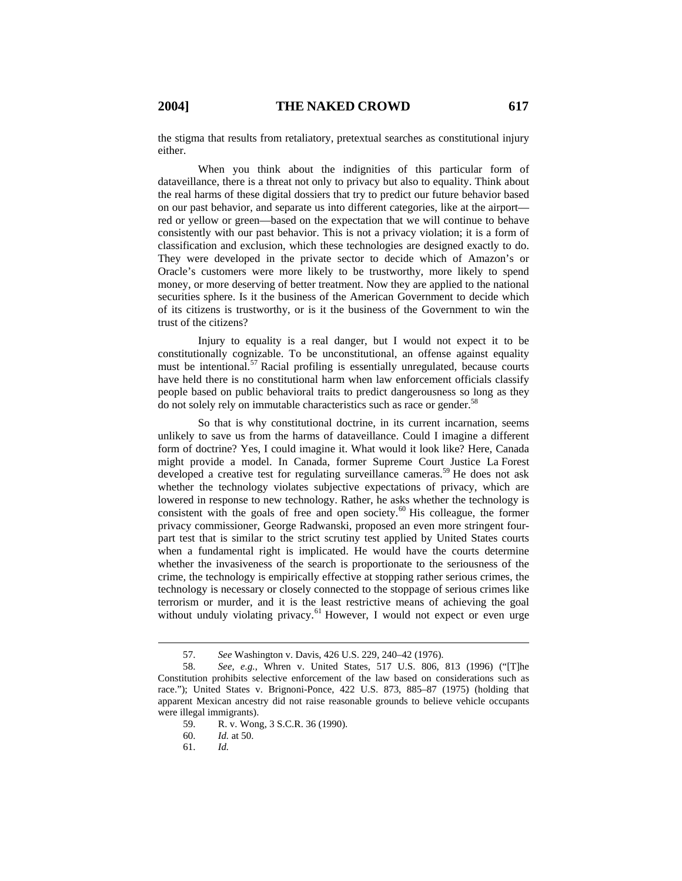the stigma that results from retaliatory, pretextual searches as constitutional injury either.

When you think about the indignities of this particular form of dataveillance, there is a threat not only to privacy but also to equality. Think about the real harms of these digital dossiers that try to predict our future behavior based on our past behavior, and separate us into different categories, like at the airport red or yellow or green—based on the expectation that we will continue to behave consistently with our past behavior. This is not a privacy violation; it is a form of classification and exclusion, which these technologies are designed exactly to do. They were developed in the private sector to decide which of Amazon's or Oracle's customers were more likely to be trustworthy, more likely to spend money, or more deserving of better treatment. Now they are applied to the national securities sphere. Is it the business of the American Government to decide which of its citizens is trustworthy, or is it the business of the Government to win the trust of the citizens?

Injury to equality is a real danger, but I would not expect it to be constitutionally cognizable. To be unconstitutional, an offense against equality must be intentional.<sup>57</sup> Racial profiling is essentially unregulated, because courts have held there is no constitutional harm when law enforcement officials classify people based on public behavioral traits to predict dangerousness so long as they do not solely rely on immutable characteristics such as race or gender.<sup>58</sup>

So that is why constitutional doctrine, in its current incarnation, seems unlikely to save us from the harms of dataveillance. Could I imagine a different form of doctrine? Yes, I could imagine it. What would it look like? Here, Canada might provide a model. In Canada, former Supreme Court Justice La Forest developed a creative test for regulating surveillance cameras.<sup>59</sup> He does not ask whether the technology violates subjective expectations of privacy, which are lowered in response to new technology. Rather, he asks whether the technology is consistent with the goals of free and open society.<sup>60</sup> His colleague, the former privacy commissioner, George Radwanski, proposed an even more stringent fourpart test that is similar to the strict scrutiny test applied by United States courts when a fundamental right is implicated. He would have the courts determine whether the invasiveness of the search is proportionate to the seriousness of the crime, the technology is empirically effective at stopping rather serious crimes, the technology is necessary or closely connected to the stoppage of serious crimes like terrorism or murder, and it is the least restrictive means of achieving the goal without unduly violating privacy.<sup>61</sup> However, I would not expect or even urge

 <sup>57.</sup> *See* Washington v. Davis, 426 U.S. 229, 240–42 (1976).

 <sup>58.</sup> *See, e.g.*, Whren v. United States, 517 U.S. 806, 813 (1996) ("[T]he Constitution prohibits selective enforcement of the law based on considerations such as race."); United States v. Brignoni-Ponce, 422 U.S. 873, 885–87 (1975) (holding that apparent Mexican ancestry did not raise reasonable grounds to believe vehicle occupants were illegal immigrants).

 <sup>59.</sup> R. v. Wong, 3 S.C.R. 36 (1990).

 <sup>60.</sup> *Id.* at 50.

 <sup>61.</sup> *Id.*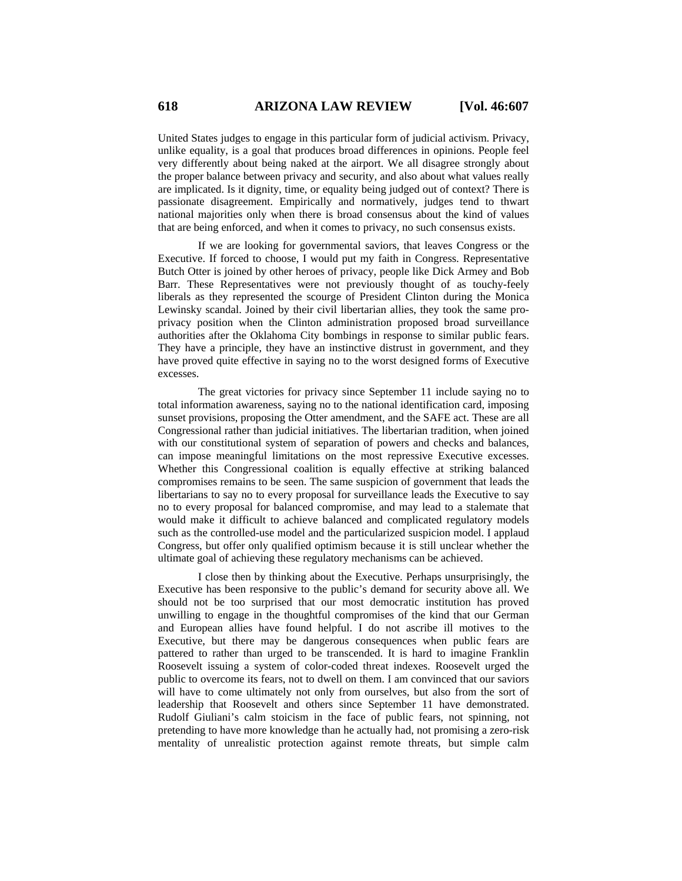United States judges to engage in this particular form of judicial activism. Privacy, unlike equality, is a goal that produces broad differences in opinions. People feel very differently about being naked at the airport. We all disagree strongly about the proper balance between privacy and security, and also about what values really are implicated. Is it dignity, time, or equality being judged out of context? There is passionate disagreement. Empirically and normatively, judges tend to thwart national majorities only when there is broad consensus about the kind of values that are being enforced, and when it comes to privacy, no such consensus exists.

If we are looking for governmental saviors, that leaves Congress or the Executive. If forced to choose, I would put my faith in Congress. Representative Butch Otter is joined by other heroes of privacy, people like Dick Armey and Bob Barr. These Representatives were not previously thought of as touchy-feely liberals as they represented the scourge of President Clinton during the Monica Lewinsky scandal. Joined by their civil libertarian allies, they took the same proprivacy position when the Clinton administration proposed broad surveillance authorities after the Oklahoma City bombings in response to similar public fears. They have a principle, they have an instinctive distrust in government, and they have proved quite effective in saying no to the worst designed forms of Executive excesses.

The great victories for privacy since September 11 include saying no to total information awareness, saying no to the national identification card, imposing sunset provisions, proposing the Otter amendment, and the SAFE act. These are all Congressional rather than judicial initiatives. The libertarian tradition, when joined with our constitutional system of separation of powers and checks and balances, can impose meaningful limitations on the most repressive Executive excesses. Whether this Congressional coalition is equally effective at striking balanced compromises remains to be seen. The same suspicion of government that leads the libertarians to say no to every proposal for surveillance leads the Executive to say no to every proposal for balanced compromise, and may lead to a stalemate that would make it difficult to achieve balanced and complicated regulatory models such as the controlled-use model and the particularized suspicion model. I applaud Congress, but offer only qualified optimism because it is still unclear whether the ultimate goal of achieving these regulatory mechanisms can be achieved.

I close then by thinking about the Executive. Perhaps unsurprisingly, the Executive has been responsive to the public's demand for security above all. We should not be too surprised that our most democratic institution has proved unwilling to engage in the thoughtful compromises of the kind that our German and European allies have found helpful. I do not ascribe ill motives to the Executive, but there may be dangerous consequences when public fears are pattered to rather than urged to be transcended. It is hard to imagine Franklin Roosevelt issuing a system of color-coded threat indexes. Roosevelt urged the public to overcome its fears, not to dwell on them. I am convinced that our saviors will have to come ultimately not only from ourselves, but also from the sort of leadership that Roosevelt and others since September 11 have demonstrated. Rudolf Giuliani's calm stoicism in the face of public fears, not spinning, not pretending to have more knowledge than he actually had, not promising a zero-risk mentality of unrealistic protection against remote threats, but simple calm